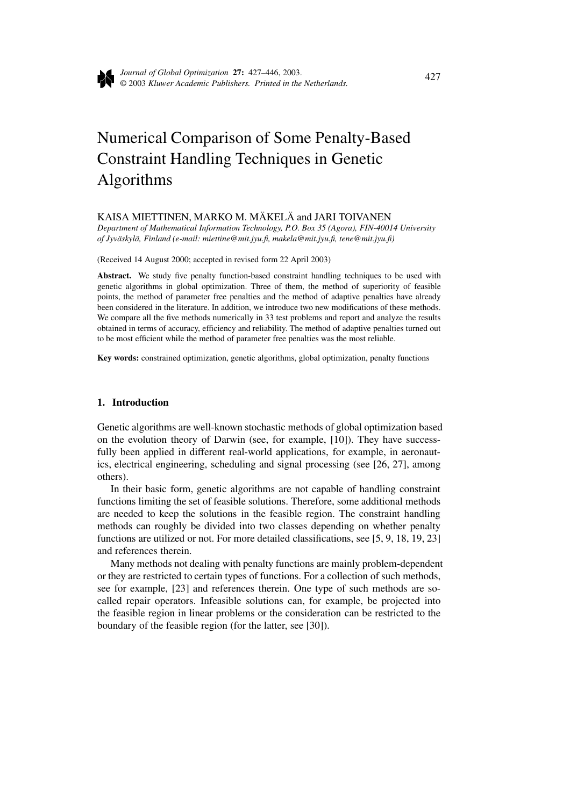

# Numerical Comparison of Some Penalty-Based Constraint Handling Techniques in Genetic Algorithms

## KAISA MIETTINEN, MARKO M. MÄKELÄ and JARI TOIVANEN

*Department of Mathematical Information Technology, P.O. Box 35 (Agora), FIN-40014 University of Jyväskylä, Finland (e-mail: miettine@mit.jyu.fi, makela@mit.jyu.fi, tene@mit.jyu.fi)*

(Received 14 August 2000; accepted in revised form 22 April 2003)

Abstract. We study five penalty function-based constraint handling techniques to be used with genetic algorithms in global optimization. Three of them, the method of superiority of feasible points, the method of parameter free penalties and the method of adaptive penalties have already been considered in the literature. In addition, we introduce two new modifications of these methods. We compare all the five methods numerically in 33 test problems and report and analyze the results obtained in terms of accuracy, efficiency and reliability. The method of adaptive penalties turned out to be most efficient while the method of parameter free penalties was the most reliable.

**Key words:** constrained optimization, genetic algorithms, global optimization, penalty functions

## **1. Introduction**

Genetic algorithms are well-known stochastic methods of global optimization based on the evolution theory of Darwin (see, for example, [10]). They have successfully been applied in different real-world applications, for example, in aeronautics, electrical engineering, scheduling and signal processing (see [26, 27], among others).

In their basic form, genetic algorithms are not capable of handling constraint functions limiting the set of feasible solutions. Therefore, some additional methods are needed to keep the solutions in the feasible region. The constraint handling methods can roughly be divided into two classes depending on whether penalty functions are utilized or not. For more detailed classifications, see [5, 9, 18, 19, 23] and references therein.

Many methods not dealing with penalty functions are mainly problem-dependent or they are restricted to certain types of functions. For a collection of such methods, see for example, [23] and references therein. One type of such methods are socalled repair operators. Infeasible solutions can, for example, be projected into the feasible region in linear problems or the consideration can be restricted to the boundary of the feasible region (for the latter, see [30]).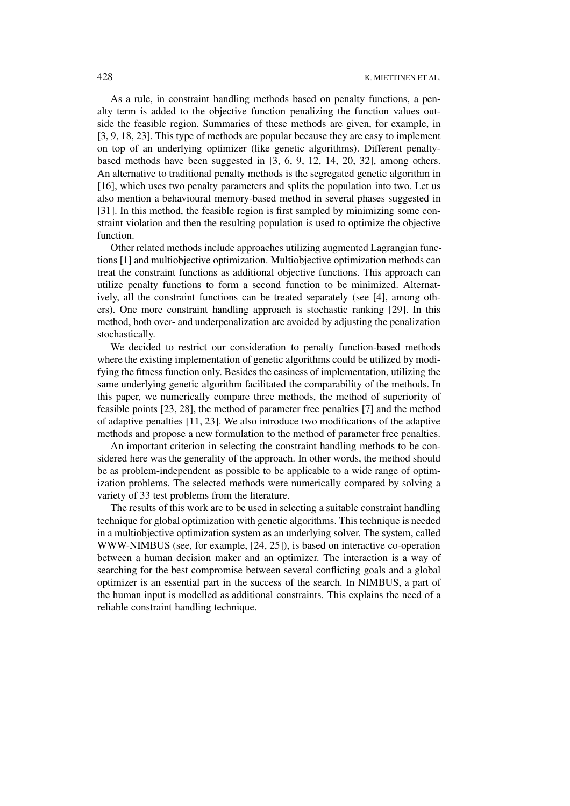As a rule, in constraint handling methods based on penalty functions, a penalty term is added to the objective function penalizing the function values outside the feasible region. Summaries of these methods are given, for example, in [3, 9, 18, 23]. This type of methods are popular because they are easy to implement on top of an underlying optimizer (like genetic algorithms). Different penaltybased methods have been suggested in [3, 6, 9, 12, 14, 20, 32], among others. An alternative to traditional penalty methods is the segregated genetic algorithm in [16], which uses two penalty parameters and splits the population into two. Let us also mention a behavioural memory-based method in several phases suggested in [31]. In this method, the feasible region is first sampled by minimizing some constraint violation and then the resulting population is used to optimize the objective function.

Other related methods include approaches utilizing augmented Lagrangian functions [1] and multiobjective optimization. Multiobjective optimization methods can treat the constraint functions as additional objective functions. This approach can utilize penalty functions to form a second function to be minimized. Alternatively, all the constraint functions can be treated separately (see [4], among others). One more constraint handling approach is stochastic ranking [29]. In this method, both over- and underpenalization are avoided by adjusting the penalization stochastically.

We decided to restrict our consideration to penalty function-based methods where the existing implementation of genetic algorithms could be utilized by modifying the fitness function only. Besides the easiness of implementation, utilizing the same underlying genetic algorithm facilitated the comparability of the methods. In this paper, we numerically compare three methods, the method of superiority of feasible points [23, 28], the method of parameter free penalties [7] and the method of adaptive penalties [11, 23]. We also introduce two modifications of the adaptive methods and propose a new formulation to the method of parameter free penalties.

An important criterion in selecting the constraint handling methods to be considered here was the generality of the approach. In other words, the method should be as problem-independent as possible to be applicable to a wide range of optimization problems. The selected methods were numerically compared by solving a variety of 33 test problems from the literature.

The results of this work are to be used in selecting a suitable constraint handling technique for global optimization with genetic algorithms. This technique is needed in a multiobjective optimization system as an underlying solver. The system, called WWW-NIMBUS (see, for example, [24, 25]), is based on interactive co-operation between a human decision maker and an optimizer. The interaction is a way of searching for the best compromise between several conflicting goals and a global optimizer is an essential part in the success of the search. In NIMBUS, a part of the human input is modelled as additional constraints. This explains the need of a reliable constraint handling technique.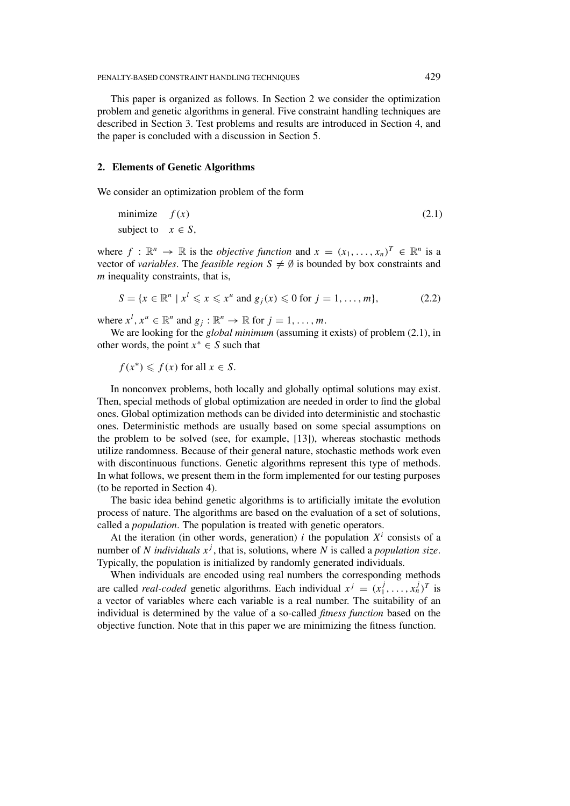This paper is organized as follows. In Section 2 we consider the optimization problem and genetic algorithms in general. Five constraint handling techniques are described in Section 3. Test problems and results are introduced in Section 4, and the paper is concluded with a discussion in Section 5.

# **2. Elements of Genetic Algorithms**

We consider an optimization problem of the form

minimize 
$$
f(x)
$$
 (2.1)  
subject to  $x \in S$ ,

where  $f: \mathbb{R}^n \to \mathbb{R}$  is the *objective function* and  $x = (x_1, \ldots, x_n)^T \in \mathbb{R}^n$  is a vector of *variables*. The *feasible region*  $S \neq \emptyset$  is bounded by box constraints and *m* inequality constraints, that is,

$$
S = \{x \in \mathbb{R}^n \mid x^l \leq x \leq x^u \text{ and } g_j(x) \leq 0 \text{ for } j = 1, \dots, m\},\tag{2.2}
$$

where  $x^l, x^u \in \mathbb{R}^n$  and  $g_j : \mathbb{R}^n \to \mathbb{R}$  for  $j = 1, \ldots, m$ .

We are looking for the *global minimum* (assuming it exists) of problem (2.1), in other words, the point  $x^* \in S$  such that

 $f(x^*) \leq f(x)$  for all  $x \in S$ .

In nonconvex problems, both locally and globally optimal solutions may exist. Then, special methods of global optimization are needed in order to find the global ones. Global optimization methods can be divided into deterministic and stochastic ones. Deterministic methods are usually based on some special assumptions on the problem to be solved (see, for example, [13]), whereas stochastic methods utilize randomness. Because of their general nature, stochastic methods work even with discontinuous functions. Genetic algorithms represent this type of methods. In what follows, we present them in the form implemented for our testing purposes (to be reported in Section 4).

The basic idea behind genetic algorithms is to artificially imitate the evolution process of nature. The algorithms are based on the evaluation of a set of solutions, called a *population*. The population is treated with genetic operators.

At the iteration (in other words, generation) *i* the population  $X^i$  consists of a number of *N individuals x<sup>j</sup>* , that is, solutions, where *N* is called a *population size*. Typically, the population is initialized by randomly generated individuals.

When individuals are encoded using real numbers the corresponding methods are called *real-coded* genetic algorithms. Each individual  $x^j = (x_1^j, \ldots, x_n^j)^T$  is a vector of variables where each variable is a real number. The suitability of an individual is determined by the value of a so-called *fitness function* based on the objective function. Note that in this paper we are minimizing the fitness function.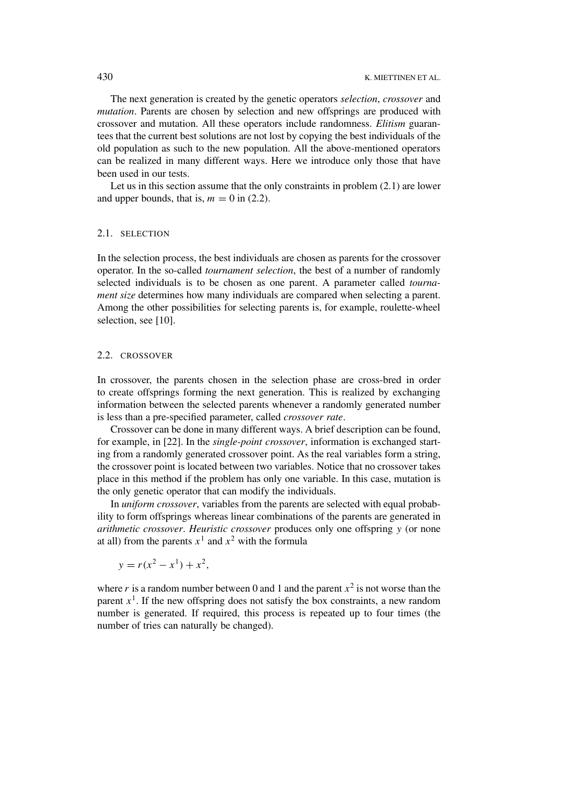The next generation is created by the genetic operators *selection*, *crossover* and *mutation*. Parents are chosen by selection and new offsprings are produced with crossover and mutation. All these operators include randomness. *Elitism* guarantees that the current best solutions are not lost by copying the best individuals of the old population as such to the new population. All the above-mentioned operators can be realized in many different ways. Here we introduce only those that have been used in our tests.

Let us in this section assume that the only constraints in problem (2.1) are lower and upper bounds, that is,  $m = 0$  in (2.2).

#### 2.1. SELECTION

In the selection process, the best individuals are chosen as parents for the crossover operator. In the so-called *tournament selection*, the best of a number of randomly selected individuals is to be chosen as one parent. A parameter called *tournament size* determines how many individuals are compared when selecting a parent. Among the other possibilities for selecting parents is, for example, roulette-wheel selection, see [10].

## 2.2. CROSSOVER

In crossover, the parents chosen in the selection phase are cross-bred in order to create offsprings forming the next generation. This is realized by exchanging information between the selected parents whenever a randomly generated number is less than a pre-specified parameter, called *crossover rate*.

Crossover can be done in many different ways. A brief description can be found, for example, in [22]. In the *single-point crossover*, information is exchanged starting from a randomly generated crossover point. As the real variables form a string, the crossover point is located between two variables. Notice that no crossover takes place in this method if the problem has only one variable. In this case, mutation is the only genetic operator that can modify the individuals.

In *uniform crossover*, variables from the parents are selected with equal probability to form offsprings whereas linear combinations of the parents are generated in *arithmetic crossover*. *Heuristic crossover* produces only one offspring *y* (or none at all) from the parents  $x^1$  and  $x^2$  with the formula

$$
y = r(x^2 - x^1) + x^2,
$$

where *r* is a random number between 0 and 1 and the parent  $x^2$  is not worse than the parent  $x<sup>1</sup>$ . If the new offspring does not satisfy the box constraints, a new random number is generated. If required, this process is repeated up to four times (the number of tries can naturally be changed).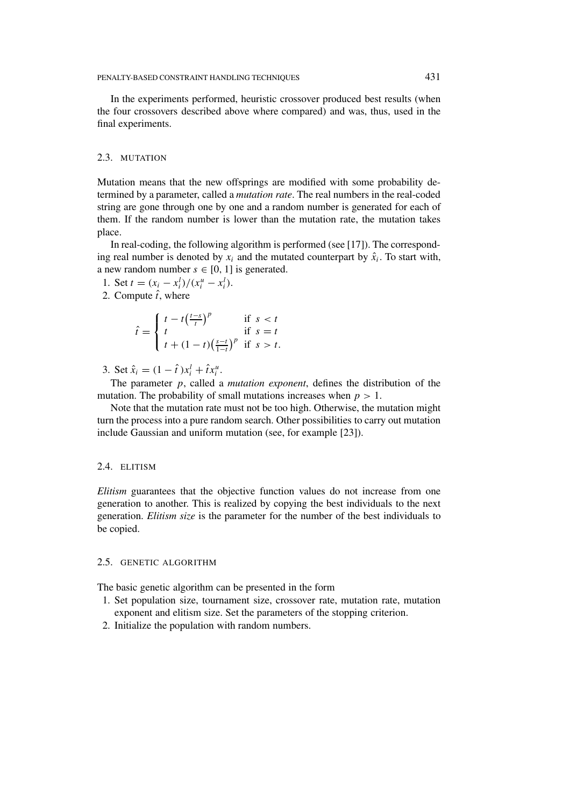In the experiments performed, heuristic crossover produced best results (when the four crossovers described above where compared) and was, thus, used in the final experiments.

## 2.3. MUTATION

Mutation means that the new offsprings are modified with some probability determined by a parameter, called a *mutation rate*. The real numbers in the real-coded string are gone through one by one and a random number is generated for each of them. If the random number is lower than the mutation rate, the mutation takes place.

In real-coding, the following algorithm is performed (see [17]). The corresponding real number is denoted by  $x_i$  and the mutated counterpart by  $\hat{x}_i$ . To start with, a new random number  $s \in [0, 1]$  is generated.

1. Set  $t = (x_i - x_i^l)/(x_i^u - x_i^l)$ . 2. Compute  $\hat{t}$ , where  $\hat{t} =$  $\sqrt{ }$  $\mathbf{J}$  $\mathbf{I}$ *t* − *t* $\left(\frac{t-s}{t}\right)^p$  if *s* < *t*  $t$  if  $s = t$  $t + (1-t)\left(\frac{s-t}{1-t}\right)^p$  if  $s > t$ .

3. Set  $\hat{x}_i = (1 - \hat{t})x_i^l + \hat{t}x_i^u$ .

The parameter *p*, called a *mutation exponent*, defines the distribution of the mutation. The probability of small mutations increases when  $p > 1$ .

Note that the mutation rate must not be too high. Otherwise, the mutation might turn the process into a pure random search. Other possibilities to carry out mutation include Gaussian and uniform mutation (see, for example [23]).

# 2.4. ELITISM

*Elitism* guarantees that the objective function values do not increase from one generation to another. This is realized by copying the best individuals to the next generation. *Elitism size* is the parameter for the number of the best individuals to be copied.

# 2.5. GENETIC ALGORITHM

The basic genetic algorithm can be presented in the form

- 1. Set population size, tournament size, crossover rate, mutation rate, mutation exponent and elitism size. Set the parameters of the stopping criterion.
- 2. Initialize the population with random numbers.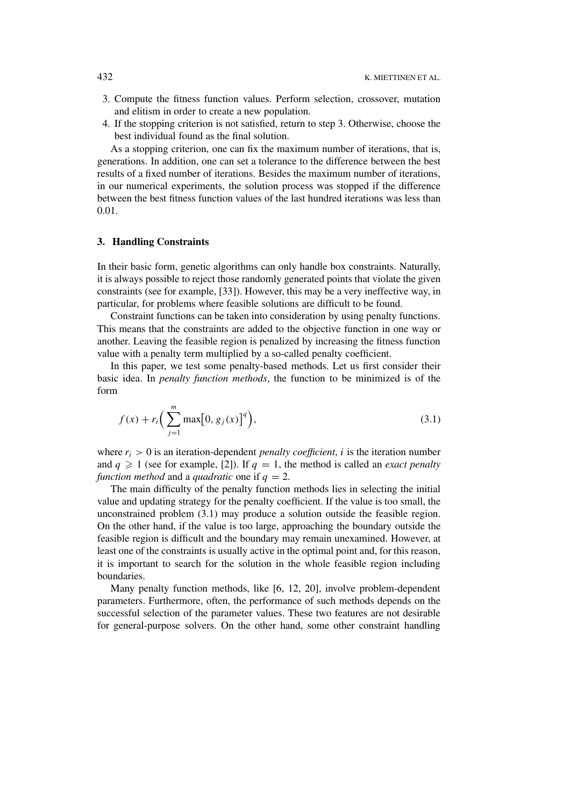- 3. Compute the fitness function values. Perform selection, crossover, mutation and elitism in order to create a new population.
- 4. If the stopping criterion is not satisfied, return to step 3. Otherwise, choose the best individual found as the final solution.

As a stopping criterion, one can fix the maximum number of iterations, that is, generations. In addition, one can set a tolerance to the difference between the best results of a fixed number of iterations. Besides the maximum number of iterations, in our numerical experiments, the solution process was stopped if the difference between the best fitness function values of the last hundred iterations was less than 0.01.

# **3. Handling Constraints**

In their basic form, genetic algorithms can only handle box constraints. Naturally, it is always possible to reject those randomly generated points that violate the given constraints (see for example, [33]). However, this may be a very ineffective way, in particular, for problems where feasible solutions are difficult to be found.

Constraint functions can be taken into consideration by using penalty functions. This means that the constraints are added to the objective function in one way or another. Leaving the feasible region is penalized by increasing the fitness function value with a penalty term multiplied by a so-called penalty coefficient.

In this paper, we test some penalty-based methods. Let us first consider their basic idea. In *penalty function methods*, the function to be minimized is of the form

$$
f(x) + r_i \Big( \sum_{j=1}^{m} \max[0, g_j(x)]^q \Big), \tag{3.1}
$$

where  $r_i > 0$  is an iteration-dependent *penalty coefficient*, *i* is the iteration number and  $q \ge 1$  (see for example, [2]). If  $q = 1$ , the method is called an *exact penalty function method* and a *quadratic* one if  $q = 2$ .

The main difficulty of the penalty function methods lies in selecting the initial value and updating strategy for the penalty coefficient. If the value is too small, the unconstrained problem (3.1) may produce a solution outside the feasible region. On the other hand, if the value is too large, approaching the boundary outside the feasible region is difficult and the boundary may remain unexamined. However, at least one of the constraints is usually active in the optimal point and, for this reason, it is important to search for the solution in the whole feasible region including boundaries.

Many penalty function methods, like [6, 12, 20], involve problem-dependent parameters. Furthermore, often, the performance of such methods depends on the successful selection of the parameter values. These two features are not desirable for general-purpose solvers. On the other hand, some other constraint handling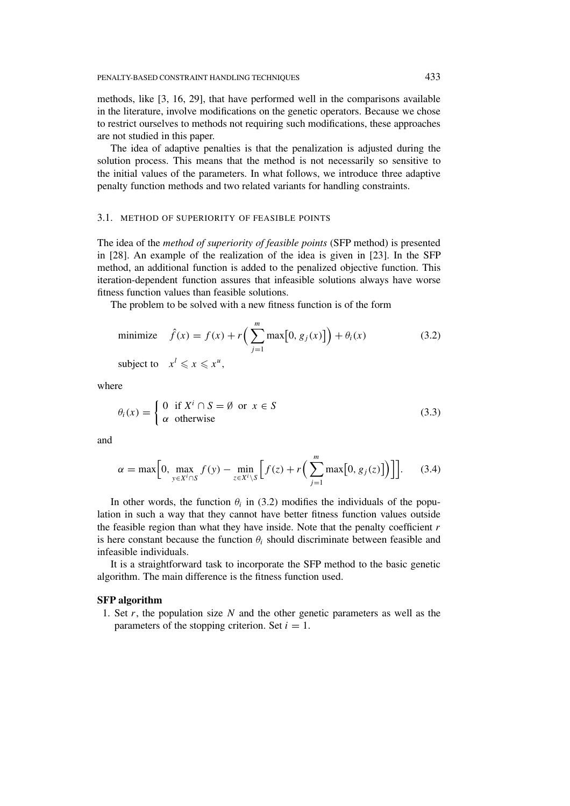methods, like [3, 16, 29], that have performed well in the comparisons available in the literature, involve modifications on the genetic operators. Because we chose to restrict ourselves to methods not requiring such modifications, these approaches are not studied in this paper.

The idea of adaptive penalties is that the penalization is adjusted during the solution process. This means that the method is not necessarily so sensitive to the initial values of the parameters. In what follows, we introduce three adaptive penalty function methods and two related variants for handling constraints.

## 3.1. METHOD OF SUPERIORITY OF FEASIBLE POINTS

The idea of the *method of superiority of feasible points* (SFP method) is presented in [28]. An example of the realization of the idea is given in [23]. In the SFP method, an additional function is added to the penalized objective function. This iteration-dependent function assures that infeasible solutions always have worse fitness function values than feasible solutions.

The problem to be solved with a new fitness function is of the form

minimize 
$$
\hat{f}(x) = f(x) + r\left(\sum_{j=1}^{m} \max[0, g_j(x)]\right) + \theta_i(x)
$$
 (3.2)

subject to  $x^l \leq x \leq x^u$ ,

where

$$
\theta_i(x) = \begin{cases} 0 & \text{if } X^i \cap S = \emptyset \text{ or } x \in S \\ \alpha & \text{otherwise} \end{cases}
$$
 (3.3)

and

$$
\alpha = \max\Big[0, \max_{y \in X^i \cap S} f(y) - \min_{z \in X^i \setminus S} \Big[ f(z) + r\Big(\sum_{j=1}^m \max\big[0, g_j(z)\big]\Big) \Big] \Big]. \tag{3.4}
$$

In other words, the function  $\theta_i$  in (3.2) modifies the individuals of the population in such a way that they cannot have better fitness function values outside the feasible region than what they have inside. Note that the penalty coefficient *r* is here constant because the function  $\theta_i$  should discriminate between feasible and infeasible individuals.

It is a straightforward task to incorporate the SFP method to the basic genetic algorithm. The main difference is the fitness function used.

#### **SFP algorithm**

1. Set *r*, the population size *N* and the other genetic parameters as well as the parameters of the stopping criterion. Set  $i = 1$ .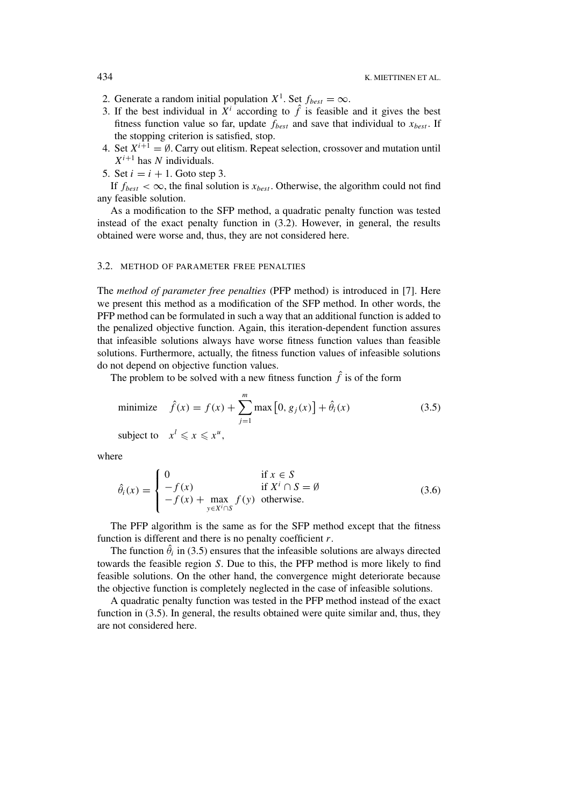- 2. Generate a random initial population  $X^1$ . Set  $f_{best} = \infty$ .
- 3. If the best individual in  $X^i$  according to  $\hat{f}$  is feasible and it gives the best fitness function value so far, update  $f_{best}$  and save that individual to  $x_{best}$ . If the stopping criterion is satisfied, stop.
- 4. Set  $X^{i+1} = \emptyset$ . Carry out elitism. Repeat selection, crossover and mutation until  $X^{i+1}$  has *N* individuals.
- 5. Set  $i = i + 1$ . Goto step 3.

If  $f_{best} < \infty$ , the final solution is  $x_{best}$ . Otherwise, the algorithm could not find any feasible solution.

As a modification to the SFP method, a quadratic penalty function was tested instead of the exact penalty function in (3.2). However, in general, the results obtained were worse and, thus, they are not considered here.

## 3.2. METHOD OF PARAMETER FREE PENALTIES

The *method of parameter free penalties* (PFP method) is introduced in [7]. Here we present this method as a modification of the SFP method. In other words, the PFP method can be formulated in such a way that an additional function is added to the penalized objective function. Again, this iteration-dependent function assures that infeasible solutions always have worse fitness function values than feasible solutions. Furthermore, actually, the fitness function values of infeasible solutions do not depend on objective function values.

The problem to be solved with a new fitness function  $\hat{f}$  is of the form

minimize 
$$
\hat{f}(x) = f(x) + \sum_{j=1}^{m} \max [0, g_j(x)] + \hat{\theta}_i(x)
$$
 (3.5)

subject to  $x^l \leq x \leq x^u$ ,

where

$$
\hat{\theta}_i(x) = \begin{cases}\n0 & \text{if } x \in S \\
-f(x) & \text{if } X^i \cap S = \emptyset \\
-f(x) + \max_{y \in X^i \cap S} f(y) & \text{otherwise.} \n\end{cases}
$$
\n(3.6)

The PFP algorithm is the same as for the SFP method except that the fitness function is different and there is no penalty coefficient *r*.

The function  $\hat{\theta}_i$  in (3.5) ensures that the infeasible solutions are always directed towards the feasible region *S*. Due to this, the PFP method is more likely to find feasible solutions. On the other hand, the convergence might deteriorate because the objective function is completely neglected in the case of infeasible solutions.

A quadratic penalty function was tested in the PFP method instead of the exact function in (3.5). In general, the results obtained were quite similar and, thus, they are not considered here.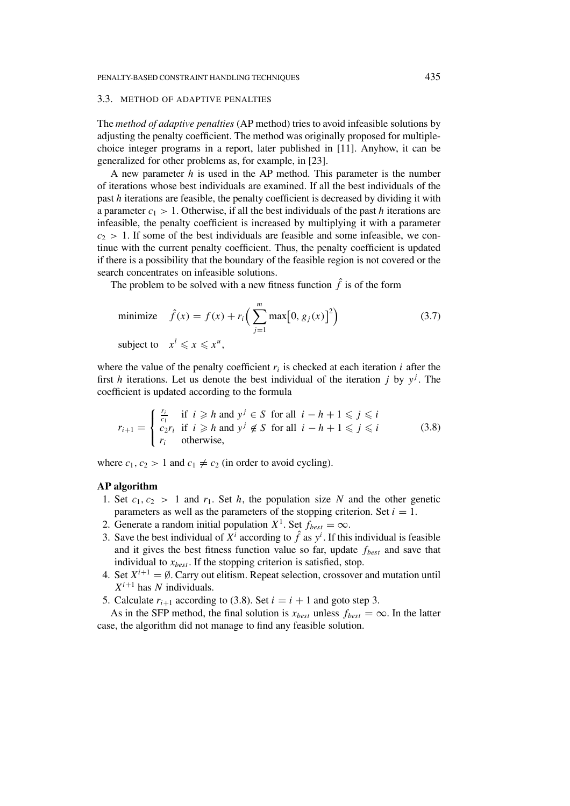## 3.3. METHOD OF ADAPTIVE PENALTIES

The *method of adaptive penalties* (AP method) tries to avoid infeasible solutions by adjusting the penalty coefficient. The method was originally proposed for multiplechoice integer programs in a report, later published in [11]. Anyhow, it can be generalized for other problems as, for example, in [23].

A new parameter *h* is used in the AP method. This parameter is the number of iterations whose best individuals are examined. If all the best individuals of the past *h* iterations are feasible, the penalty coefficient is decreased by dividing it with a parameter  $c_1 > 1$ . Otherwise, if all the best individuals of the past *h* iterations are infeasible, the penalty coefficient is increased by multiplying it with a parameter  $c_2$  > 1. If some of the best individuals are feasible and some infeasible, we continue with the current penalty coefficient. Thus, the penalty coefficient is updated if there is a possibility that the boundary of the feasible region is not covered or the search concentrates on infeasible solutions.

The problem to be solved with a new fitness function  $\hat{f}$  is of the form

minimize 
$$
\hat{f}(x) = f(x) + r_i \left( \sum_{j=1}^{m} \max[0, g_j(x)]^2 \right)
$$
 (3.7)

subject to  $x^l \leq x \leq x^u$ ,

where the value of the penalty coefficient  $r_i$  is checked at each iteration  $i$  after the first *h* iterations. Let us denote the best individual of the iteration *j* by  $y<sup>j</sup>$ . The coefficient is updated according to the formula

$$
r_{i+1} = \begin{cases} \frac{r_i}{c_1} & \text{if } i \geqslant h \text{ and } y^j \in S \text{ for all } i - h + 1 \leqslant j \leqslant i \\ c_2 r_i & \text{if } i \geqslant h \text{ and } y^j \notin S \text{ for all } i - h + 1 \leqslant j \leqslant i \\ r_i & \text{otherwise,} \end{cases} \tag{3.8}
$$

where  $c_1, c_2 > 1$  and  $c_1 \neq c_2$  (in order to avoid cycling).

## **AP algorithm**

- 1. Set  $c_1, c_2 > 1$  and  $r_1$ . Set *h*, the population size *N* and the other genetic parameters as well as the parameters of the stopping criterion. Set  $i = 1$ .
- 2. Generate a random initial population  $X^1$ . Set  $f_{best} = \infty$ .
- 3. Save the best individual of  $X^i$  according to  $\hat{f}$  as  $y^i$ . If this individual is feasible and it gives the best fitness function value so far, update *fbest* and save that individual to  $x_{best}$ . If the stopping criterion is satisfied, stop.
- 4. Set  $X^{i+1} = \emptyset$ . Carry out elitism. Repeat selection, crossover and mutation until  $X^{i+1}$  has *N* individuals.
- 5. Calculate  $r_{i+1}$  according to (3.8). Set  $i = i + 1$  and goto step 3.

As in the SFP method, the final solution is  $x_{best}$  unless  $f_{best} = \infty$ . In the latter case, the algorithm did not manage to find any feasible solution.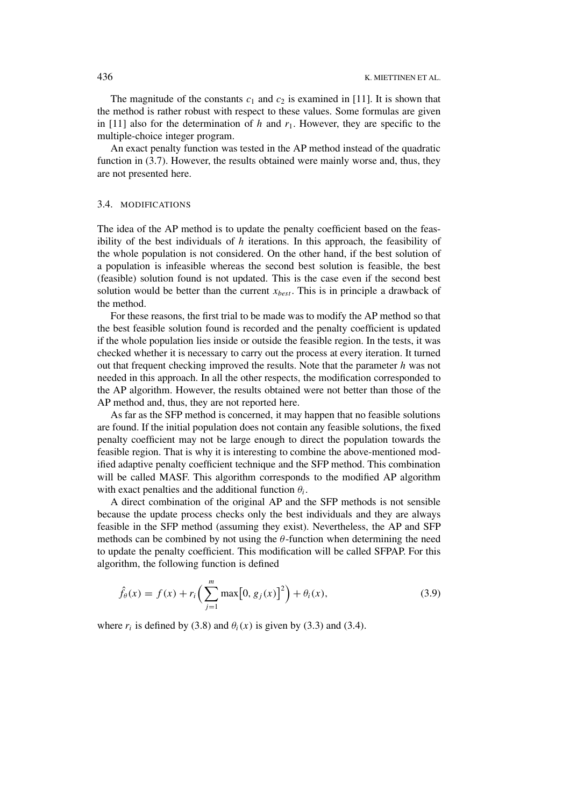The magnitude of the constants  $c_1$  and  $c_2$  is examined in [11]. It is shown that the method is rather robust with respect to these values. Some formulas are given in [11] also for the determination of  $h$  and  $r_1$ . However, they are specific to the multiple-choice integer program.

An exact penalty function was tested in the AP method instead of the quadratic function in (3.7). However, the results obtained were mainly worse and, thus, they are not presented here.

## 3.4. MODIFICATIONS

The idea of the AP method is to update the penalty coefficient based on the feasibility of the best individuals of *h* iterations. In this approach, the feasibility of the whole population is not considered. On the other hand, if the best solution of a population is infeasible whereas the second best solution is feasible, the best (feasible) solution found is not updated. This is the case even if the second best solution would be better than the current  $x_{best}$ . This is in principle a drawback of the method.

For these reasons, the first trial to be made was to modify the AP method so that the best feasible solution found is recorded and the penalty coefficient is updated if the whole population lies inside or outside the feasible region. In the tests, it was checked whether it is necessary to carry out the process at every iteration. It turned out that frequent checking improved the results. Note that the parameter *h* was not needed in this approach. In all the other respects, the modification corresponded to the AP algorithm. However, the results obtained were not better than those of the AP method and, thus, they are not reported here.

As far as the SFP method is concerned, it may happen that no feasible solutions are found. If the initial population does not contain any feasible solutions, the fixed penalty coefficient may not be large enough to direct the population towards the feasible region. That is why it is interesting to combine the above-mentioned modified adaptive penalty coefficient technique and the SFP method. This combination will be called MASF. This algorithm corresponds to the modified AP algorithm with exact penalties and the additional function  $\theta_i$ .

A direct combination of the original AP and the SFP methods is not sensible because the update process checks only the best individuals and they are always feasible in the SFP method (assuming they exist). Nevertheless, the AP and SFP methods can be combined by not using the  $\theta$ -function when determining the need to update the penalty coefficient. This modification will be called SFPAP. For this algorithm, the following function is defined

$$
\hat{f}_{\theta}(x) = f(x) + r_i \left( \sum_{j=1}^{m} \max[0, g_j(x)]^2 \right) + \theta_i(x), \tag{3.9}
$$

where  $r_i$  is defined by (3.8) and  $\theta_i(x)$  is given by (3.3) and (3.4).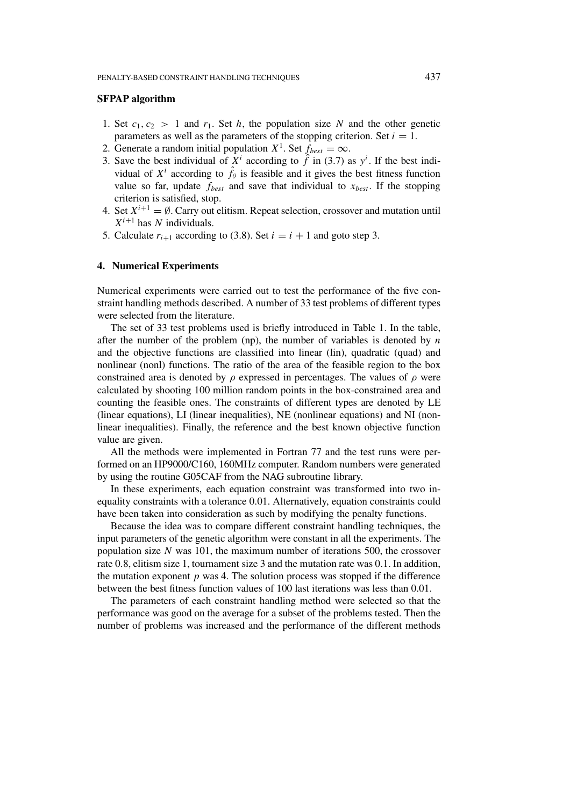# **SFPAP algorithm**

- 1. Set  $c_1, c_2 > 1$  and  $r_1$ . Set *h*, the population size *N* and the other genetic parameters as well as the parameters of the stopping criterion. Set  $i = 1$ .
- 2. Generate a random initial population  $X^1$ . Set  $f_{best} = \infty$ .
- 3. Save the best individual of  $\overrightarrow{X}$ <sup>*i*</sup> according to  $\overrightarrow{f}$  in (3.7) as  $y$ <sup>*i*</sup>. If the best individual of  $X^i$  according to  $\hat{f}_\theta$  is feasible and it gives the best fitness function value so far, update  $f_{best}$  and save that individual to  $x_{best}$ . If the stopping criterion is satisfied, stop.
- 4. Set  $X^{i+1} = \emptyset$ . Carry out elitism. Repeat selection, crossover and mutation until  $X^{i+1}$  has *N* individuals.
- 5. Calculate  $r_{i+1}$  according to (3.8). Set  $i = i + 1$  and goto step 3.

# **4. Numerical Experiments**

Numerical experiments were carried out to test the performance of the five constraint handling methods described. A number of 33 test problems of different types were selected from the literature.

The set of 33 test problems used is briefly introduced in Table 1. In the table, after the number of the problem (np), the number of variables is denoted by *n* and the objective functions are classified into linear (lin), quadratic (quad) and nonlinear (nonl) functions. The ratio of the area of the feasible region to the box constrained area is denoted by  $\rho$  expressed in percentages. The values of  $\rho$  were calculated by shooting 100 million random points in the box-constrained area and counting the feasible ones. The constraints of different types are denoted by LE (linear equations), LI (linear inequalities), NE (nonlinear equations) and NI (nonlinear inequalities). Finally, the reference and the best known objective function value are given.

All the methods were implemented in Fortran 77 and the test runs were performed on an HP9000/C160, 160MHz computer. Random numbers were generated by using the routine G05CAF from the NAG subroutine library.

In these experiments, each equation constraint was transformed into two inequality constraints with a tolerance 0.01. Alternatively, equation constraints could have been taken into consideration as such by modifying the penalty functions.

Because the idea was to compare different constraint handling techniques, the input parameters of the genetic algorithm were constant in all the experiments. The population size *N* was 101, the maximum number of iterations 500, the crossover rate 0*.*8, elitism size 1, tournament size 3 and the mutation rate was 0*.*1. In addition, the mutation exponent  $p$  was 4. The solution process was stopped if the difference between the best fitness function values of 100 last iterations was less than 0.01.

The parameters of each constraint handling method were selected so that the performance was good on the average for a subset of the problems tested. Then the number of problems was increased and the performance of the different methods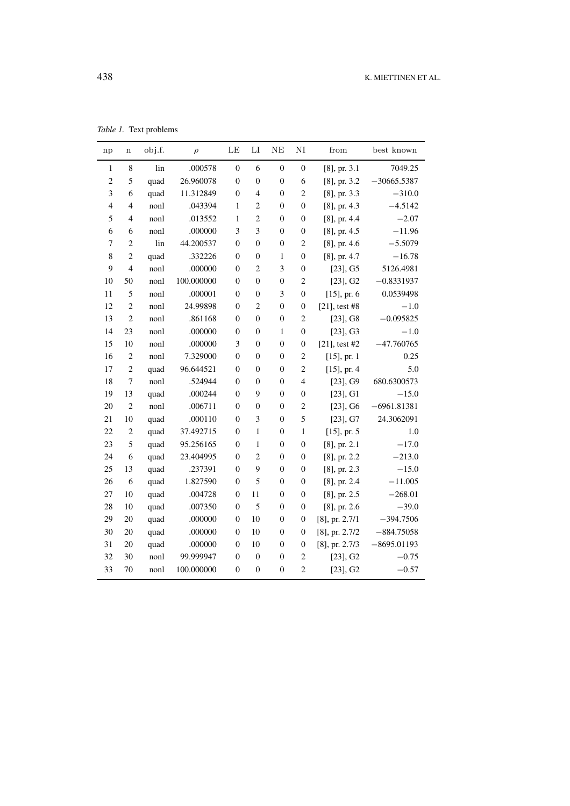|  |  | Table 1. Text problems |  |  |
|--|--|------------------------|--|--|
|--|--|------------------------|--|--|

| np           | $\mathbf n$    | obj.f. | $\rho$     | $\rm LE$         | $\mathop{\rm LI}\nolimits$ | $\rm NE$         | $\rm NI$         | from              | best known    |
|--------------|----------------|--------|------------|------------------|----------------------------|------------------|------------------|-------------------|---------------|
| $\,1$        | $\,8\,$        | lin    | .000578    | $\boldsymbol{0}$ | 6                          | $\boldsymbol{0}$ | $\boldsymbol{0}$ | $[8]$ , pr. 3.1   | 7049.25       |
| $\mathbf{2}$ | 5              | quad   | 26.960078  | $\boldsymbol{0}$ | $\mathbf{0}$               | $\boldsymbol{0}$ | 6                | $[8]$ , pr. 3.2   | $-30665.5387$ |
| 3            | 6              | quad   | 11.312849  | $\boldsymbol{0}$ | $\overline{4}$             | $\boldsymbol{0}$ | $\overline{c}$   | $[8]$ , pr. 3.3   | $-310.0$      |
| 4            | $\overline{4}$ | nonl   | .043394    | 1                | $\mathbf{2}$               | $\boldsymbol{0}$ | $\overline{0}$   | $[8]$ , pr. 4.3   | $-4.5142$     |
| 5            | 4              | nonl   | .013552    | $\mathbf{1}$     | $\overline{c}$             | $\boldsymbol{0}$ | $\boldsymbol{0}$ | $[8]$ , pr. 4.4   | $-2.07$       |
| 6            | 6              | nonl   | .000000    | 3                | 3                          | $\overline{0}$   | $\overline{0}$   | $[8]$ , pr. 4.5   | $-11.96$      |
| 7            | $\overline{2}$ | lin    | 44.200537  | $\overline{0}$   | $\overline{0}$             | $\overline{0}$   | $\mathbf{2}$     | $[8]$ , pr. 4.6   | $-5.5079$     |
| 8            | $\overline{2}$ | quad   | .332226    | $\overline{0}$   | $\mathbf{0}$               | 1                | $\overline{0}$   | $[8]$ , pr. 4.7   | $-16.78$      |
| 9            | $\overline{4}$ | nonl   | .000000    | $\boldsymbol{0}$ | $\mathbf{2}$               | $\mathfrak{Z}$   | $\overline{0}$   | $[23]$ , G5       | 5126.4981     |
| 10           | 50             | nonl   | 100.000000 | $\boldsymbol{0}$ | $\mathbf{0}$               | $\boldsymbol{0}$ | $\overline{2}$   | $[23]$ , G2       | $-0.8331937$  |
| 11           | 5              | nonl   | .000001    | $\boldsymbol{0}$ | $\boldsymbol{0}$           | $\mathfrak{Z}$   | $\boldsymbol{0}$ | $[15]$ , pr. 6    | 0.0539498     |
| 12           | $\overline{c}$ | nonl   | 24.99898   | $\boldsymbol{0}$ | $\mathbf{2}$               | $\boldsymbol{0}$ | $\boldsymbol{0}$ | $[21]$ , test #8  | $-1.0$        |
| 13           | $\overline{c}$ | nonl   | .861168    | $\boldsymbol{0}$ | $\boldsymbol{0}$           | $\boldsymbol{0}$ | $\overline{c}$   | $[23]$ , G8       | $-0.095825$   |
| 14           | 23             | nonl   | .000000    | $\boldsymbol{0}$ | $\boldsymbol{0}$           | 1                | $\boldsymbol{0}$ | $[23]$ , G3       | $-1.0$        |
| 15           | 10             | nonl   | .000000    | 3                | $\boldsymbol{0}$           | $\boldsymbol{0}$ | $\boldsymbol{0}$ | $[21]$ , test #2  | $-47.760765$  |
| 16           | $\overline{2}$ | nonl   | 7.329000   | $\overline{0}$   | $\overline{0}$             | $\theta$         | $\overline{c}$   | $[15]$ , pr. 1    | 0.25          |
| 17           | $\overline{2}$ | quad   | 96.644521  | $\overline{0}$   | $\overline{0}$             | $\overline{0}$   | $\overline{2}$   | $[15]$ , pr. 4    | 5.0           |
| 18           | $\tau$         | nonl   | .524944    | $\overline{0}$   | $\mathbf{0}$               | $\mathbf{0}$     | $\overline{4}$   | $[23]$ , G9       | 680.6300573   |
| 19           | 13             | quad   | .000244    | $\overline{0}$   | 9                          | $\overline{0}$   | $\overline{0}$   | $[23]$ , G1       | $-15.0$       |
| 20           | $\mathbf{2}$   | nonl   | .006711    | $\overline{0}$   | $\overline{0}$             | $\overline{0}$   | $\mathbf{2}$     | $[23]$ , G6       | $-6961.81381$ |
| 21           | 10             | quad   | .000110    | $\boldsymbol{0}$ | 3                          | $\boldsymbol{0}$ | 5                | $[23]$ , G7       | 24.3062091    |
| 22           | $\mathbf{2}$   | quad   | 37.492715  | $\boldsymbol{0}$ | $\,1\,$                    | $\boldsymbol{0}$ | $\mathbf{1}$     | $[15]$ , pr. 5    | 1.0           |
| 23           | 5              | quad   | 95.256165  | $\boldsymbol{0}$ | $\,1\,$                    | $\boldsymbol{0}$ | $\boldsymbol{0}$ | [8], pr. 2.1      | $-17.0$       |
| 24           | 6              | quad   | 23.404995  | $\boldsymbol{0}$ | $\mathbf{2}$               | $\boldsymbol{0}$ | $\boldsymbol{0}$ | $[8]$ , pr. 2.2   | $-213.0$      |
| 25           | 13             | quad   | .237391    | $\boldsymbol{0}$ | 9                          | $\boldsymbol{0}$ | $\boldsymbol{0}$ | [8], pr. 2.3      | $-15.0$       |
| 26           | 6              | quad   | 1.827590   | $\boldsymbol{0}$ | 5                          | $\boldsymbol{0}$ | $\boldsymbol{0}$ | $[8]$ , pr. 2.4   | $-11.005$     |
| 27           | 10             | quad   | .004728    | $\boldsymbol{0}$ | 11                         | $\overline{0}$   | $\boldsymbol{0}$ | [8], pr. 2.5      | $-268.01$     |
| 28           | 10             | quad   | .007350    | $\boldsymbol{0}$ | 5                          | $\overline{0}$   | $\overline{0}$   | $[8]$ , pr. 2.6   | $-39.0$       |
| 29           | 20             | quad   | .000000    | $\boldsymbol{0}$ | 10                         | $\boldsymbol{0}$ | $\boldsymbol{0}$ | $[8]$ , pr. 2.7/1 | $-394.7506$   |
| 30           | 20             | quad   | .000000    | $\boldsymbol{0}$ | 10                         | $\boldsymbol{0}$ | $\overline{0}$   | $[8]$ , pr. 2.7/2 | $-884.75058$  |
| 31           | 20             | quad   | .000000    | $\boldsymbol{0}$ | 10                         | $\boldsymbol{0}$ | $\overline{0}$   | $[8]$ , pr. 2.7/3 | $-8695.01193$ |
| 32           | 30             | nonl   | 99.999947  | $\boldsymbol{0}$ | $\boldsymbol{0}$           | $\overline{0}$   | $\overline{2}$   | $[23]$ , G2       | $-0.75$       |
| 33           | 70             | nonl   | 100.000000 | $\boldsymbol{0}$ | $\boldsymbol{0}$           | $\boldsymbol{0}$ | $\overline{c}$   | $[23]$ , G2       | $-0.57$       |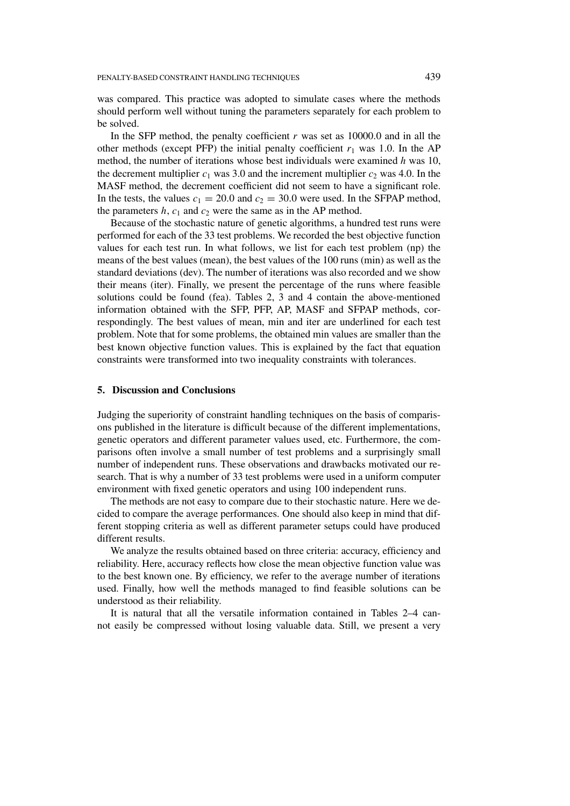was compared. This practice was adopted to simulate cases where the methods should perform well without tuning the parameters separately for each problem to be solved.

In the SFP method, the penalty coefficient  $r$  was set as 10000.0 and in all the other methods (except PFP) the initial penalty coefficient  $r_1$  was 1.0. In the AP method, the number of iterations whose best individuals were examined *h* was 10, the decrement multiplier  $c_1$  was 3.0 and the increment multiplier  $c_2$  was 4.0. In the MASF method, the decrement coefficient did not seem to have a significant role. In the tests, the values  $c_1 = 20.0$  and  $c_2 = 30.0$  were used. In the SFPAP method, the parameters  $h$ ,  $c_1$  and  $c_2$  were the same as in the AP method.

Because of the stochastic nature of genetic algorithms, a hundred test runs were performed for each of the 33 test problems. We recorded the best objective function values for each test run. In what follows, we list for each test problem (np) the means of the best values (mean), the best values of the 100 runs (min) as well as the standard deviations (dev). The number of iterations was also recorded and we show their means (iter). Finally, we present the percentage of the runs where feasible solutions could be found (fea). Tables 2, 3 and 4 contain the above-mentioned information obtained with the SFP, PFP, AP, MASF and SFPAP methods, correspondingly. The best values of mean, min and iter are underlined for each test problem. Note that for some problems, the obtained min values are smaller than the best known objective function values. This is explained by the fact that equation constraints were transformed into two inequality constraints with tolerances.

## **5. Discussion and Conclusions**

Judging the superiority of constraint handling techniques on the basis of comparisons published in the literature is difficult because of the different implementations, genetic operators and different parameter values used, etc. Furthermore, the comparisons often involve a small number of test problems and a surprisingly small number of independent runs. These observations and drawbacks motivated our research. That is why a number of 33 test problems were used in a uniform computer environment with fixed genetic operators and using 100 independent runs.

The methods are not easy to compare due to their stochastic nature. Here we decided to compare the average performances. One should also keep in mind that different stopping criteria as well as different parameter setups could have produced different results.

We analyze the results obtained based on three criteria: accuracy, efficiency and reliability. Here, accuracy reflects how close the mean objective function value was to the best known one. By efficiency, we refer to the average number of iterations used. Finally, how well the methods managed to find feasible solutions can be understood as their reliability.

It is natural that all the versatile information contained in Tables 2–4 cannot easily be compressed without losing valuable data. Still, we present a very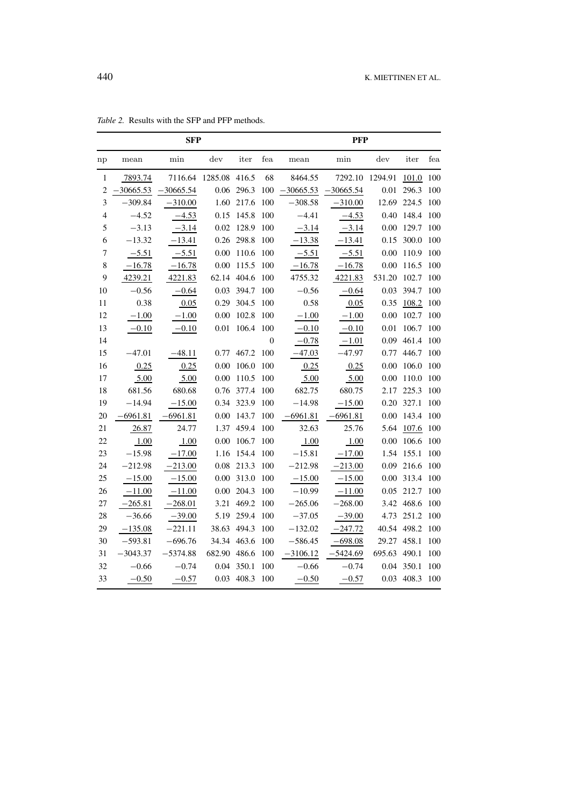| <b>SFP</b>       |             |             |               |             |                  | <b>PFP</b>  |             |              |             |     |
|------------------|-------------|-------------|---------------|-------------|------------------|-------------|-------------|--------------|-------------|-----|
| np               | mean        | min         | dev           | iter        | fea              | mean        | min         | dev          | iter        | fea |
| $\mathbf{1}$     | 7893.74     | 7116.64     | 1285.08 416.5 |             | 68               | 8464.55     | 7292.10     | 1294.91      | 101.0       | 100 |
| $\overline{c}$   | $-30665.53$ | $-30665.54$ | 0.06          | 296.3       | 100              | $-30665.53$ | $-30665.54$ |              | 0.01 296.3  | 100 |
| 3                | $-309.84$   | $-310.00$   |               | 1.60 217.6  | 100              | $-308.58$   | $-310.00$   |              | 12.69 224.5 | 100 |
| $\overline{4}$   | $-4.52$     | $-4.53$     | 0.15          | 145.8       | 100              | $-4.41$     | $-4.53$     | 0.40         | 148.4       | 100 |
| 5                | $-3.13$     | $-3.14$     | 0.02          | 128.9       | 100              | $-3.14$     | $-3.14$     | $0.00\,$     | 129.7       | 100 |
| 6                | $-13.32$    | $-13.41$    | 0.26          | 298.8       | 100              | $-13.38$    | $-13.41$    | 0.15         | 300.0       | 100 |
| $\boldsymbol{7}$ | $-5.51$     | $-5.51$     | 0.00          | 110.6       | 100              | $-5.51$     | $-5.51$     | 0.00         | 110.9       | 100 |
| $\,$ 8 $\,$      | $-16.78$    | $-16.78$    | 0.00          | 115.5       | 100              | $-16.78$    | $-16.78$    | 0.00         | 116.5       | 100 |
| 9                | 4239.21     | 4221.83     |               | 62.14 404.6 | 100              | 4755.32     | 4221.83     | 531.20       | 102.7       | 100 |
| 10               | $-0.56$     | $-0.64$     | 0.03          | 394.7       | 100              | $-0.56$     | $-0.64$     | 0.03         | 394.7       | 100 |
| 11               | 0.38        | 0.05        | 0.29          | 304.5       | 100              | 0.58        | 0.05        | 0.35         | 108.2       | 100 |
| 12               | $-1.00$     | $-1.00$     | 0.00          | 102.8       | 100              | $-1.00$     | $-1.00$     | 0.00         | 102.7       | 100 |
| 13               | $-0.10$     | $-0.10$     | 0.01          | 106.4       | 100              | $-0.10$     | $-0.10$     | 0.01         | 106.7       | 100 |
| 14               |             |             |               |             | $\boldsymbol{0}$ | $-0.78$     | $-1.01$     |              | 0.09 461.4  | 100 |
| 15               | $-47.01$    | $-48.11$    | 0.77          | 467.2       | 100              | $-47.03$    | $-47.97$    |              | 0.77 446.7  | 100 |
| 16               | 0.25        | 0.25        | 0.00          | 106.0       | 100              | 0.25        | 0.25        | 0.00         | 106.0       | 100 |
| 17               | 5.00        | 5.00        | 0.00          | 110.5       | 100              | 5.00        | 5.00        | 0.00         | 110.0       | 100 |
| 18               | 681.56      | 680.68      | 0.76          | 377.4       | 100              | 682.75      | 680.75      |              | 2.17 225.3  | 100 |
| 19               | $-14.94$    | $-15.00$    | 0.34          | 323.9       | 100              | $-14.98$    | $-15.00$    | 0.20         | 327.1       | 100 |
| 20               | $-6961.81$  | $-6961.81$  | 0.00          | 143.7       | 100              | $-6961.81$  | $-6961.81$  | 0.00         | 143.4       | 100 |
| 21               | 26.87       | 24.77       | 1.37          | 459.4       | 100              | 32.63       | 25.76       | 5.64         | 107.6       | 100 |
| 22               | 1.00        | 1.00        | 0.00          | 106.7       | 100              | 1.00        | 1.00        | 0.00         | 106.6       | 100 |
| 23               | $-15.98$    | $-17.00$    | 1.16          | 154.4       | 100              | $-15.81$    | $-17.00$    | 1.54         | 155.1       | 100 |
| 24               | $-212.98$   | $-213.00$   | $0.08\,$      | 213.3       | 100              | $-212.98$   | $-213.00$   | 0.09         | 216.6       | 100 |
| 25               | $-15.00$    | $-15.00$    | 0.00          | 313.0       | 100              | $-15.00$    | $-15.00$    | 0.00         | 313.4       | 100 |
| 26               | $-11.00$    | $-11.00$    | 0.00          | 204.3       | 100              | $-10.99$    | $-11.00$    | 0.05         | 212.7       | 100 |
| $27\,$           | $-265.81$   | $-268.01$   | 3.21          | 469.2       | 100              | $-265.06$   | $-268.00$   |              | 3.42 468.6  | 100 |
| 28               | $-36.66$    | $-39.00$    |               | 5.19 259.4  | 100              | $-37.05$    | $-39.00$    |              | 4.73 251.2  | 100 |
| 29               | $-135.08$   | $-221.11$   |               | 38.63 494.3 | 100              | $-132.02$   | $-247.72$   |              | 40.54 498.2 | 100 |
| 30               | $-593.81$   | $-696.76$   |               | 34.34 463.6 | 100              | $-586.45$   | $-698.08$   |              | 29.27 458.1 | 100 |
| 31               | $-3043.37$  | $-5374.88$  | 682.90 486.6  |             | 100              | $-3106.12$  | $-5424.69$  | 695.63 490.1 |             | 100 |
| 32               | $-0.66$     | $-0.74$     | 0.04          | 350.1       | 100              | $-0.66$     | $-0.74$     |              | 0.04 350.1  | 100 |
| 33               | $-0.50$     | $-0.57$     |               | 0.03 408.3  | 100              | $-0.50$     | $-0.57$     |              | 0.03 408.3  | 100 |

*Table 2.* Results with the SFP and PFP methods.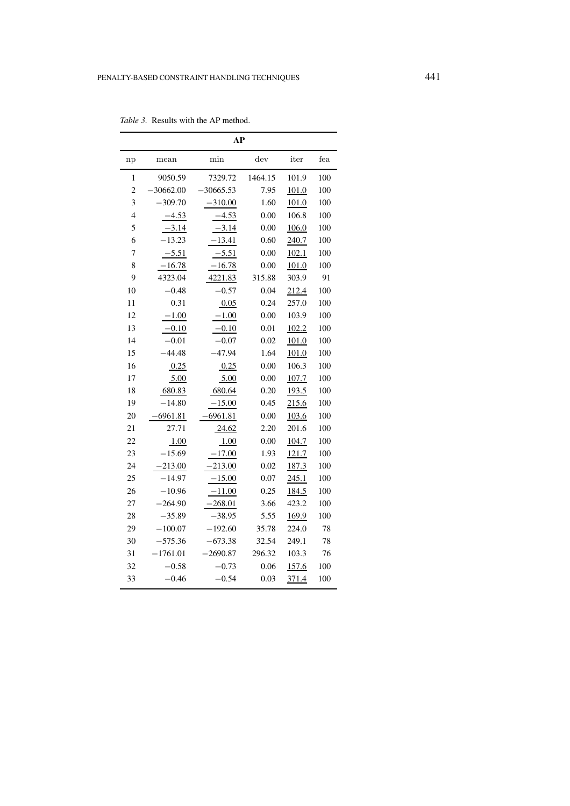|                | AP          |             |         |       |     |  |  |  |
|----------------|-------------|-------------|---------|-------|-----|--|--|--|
| np             | mean        | min         | dev     | iter  | fea |  |  |  |
| 1              | 9050.59     | 7329.72     | 1464.15 | 101.9 | 100 |  |  |  |
| $\overline{c}$ | $-30662.00$ | $-30665.53$ | 7.95    | 101.0 | 100 |  |  |  |
| 3              | $-309.70$   | $-310.00$   | 1.60    | 101.0 | 100 |  |  |  |
| $\overline{4}$ | $-4.53$     | $-4.53$     | 0.00    | 106.8 | 100 |  |  |  |
| 5              | $-3.14$     | $-3.14$     | 0.00    | 106.0 | 100 |  |  |  |
| 6              | $-13.23$    | $-13.41$    | 0.60    | 240.7 | 100 |  |  |  |
| 7              | $-5.51$     | $-5.51$     | 0.00    | 102.1 | 100 |  |  |  |
| 8              | $-16.78$    | $-16.78$    | 0.00    | 101.0 | 100 |  |  |  |
| 9              | 4323.04     | 4221.83     | 315.88  | 303.9 | 91  |  |  |  |
| 10             | $-0.48$     | $-0.57$     | 0.04    | 212.4 | 100 |  |  |  |
| 11             | 0.31        | 0.05        | 0.24    | 257.0 | 100 |  |  |  |
| 12             | $-1.00$     | $-1.00$     | 0.00    | 103.9 | 100 |  |  |  |
| 13             | $-0.10$     | $-0.10$     | 0.01    | 102.2 | 100 |  |  |  |
| 14             | $-0.01$     | $-0.07$     | 0.02    | 101.0 | 100 |  |  |  |
| 15             | $-44.48$    | $-47.94$    | 1.64    | 101.0 | 100 |  |  |  |
| 16             | 0.25        | 0.25        | 0.00    | 106.3 | 100 |  |  |  |
| 17             | 5.00        | 5.00        | 0.00    | 107.7 | 100 |  |  |  |
| 18             | 680.83      | 680.64      | 0.20    | 193.5 | 100 |  |  |  |
| 19             | $-14.80$    | $-15.00$    | 0.45    | 215.6 | 100 |  |  |  |
| 20             | 6961.81     | 6961.81     | 0.00    | 103.6 | 100 |  |  |  |
| 21             | 27.71       | 24.62       | 2.20    | 201.6 | 100 |  |  |  |
| 22             | 1.00        | 1.00        | 0.00    | 104.7 | 100 |  |  |  |
| 23             | $-15.69$    | $-17.00$    | 1.93    | 121.7 | 100 |  |  |  |
| 24             | $-213.00$   | $-213.00$   | 0.02    | 187.3 | 100 |  |  |  |
| 25             | $-14.97$    | $-15.00$    | 0.07    | 245.1 | 100 |  |  |  |
| 26             | $-10.96$    | $-11.00$    | 0.25    | 184.5 | 100 |  |  |  |
| 27             | $-264.90$   | 268.01      | 3.66    | 423.2 | 100 |  |  |  |
| 28             | $-35.89$    | $-38.95$    | 5.55    | 169.9 | 100 |  |  |  |
| 29             | $-100.07$   | $-192.60$   | 35.78   | 224.0 | 78  |  |  |  |
| 30             | $-575.36$   | $-673.38$   | 32.54   | 249.1 | 78  |  |  |  |
| 31             | $-1761.01$  | $-2690.87$  | 296.32  | 103.3 | 76  |  |  |  |
| 32             | $-0.58$     | $-0.73$     | 0.06    | 157.6 | 100 |  |  |  |
| 33             | $-0.46$     | $-0.54$     | 0.03    | 371.4 | 100 |  |  |  |

*Table 3.* Results with the AP method.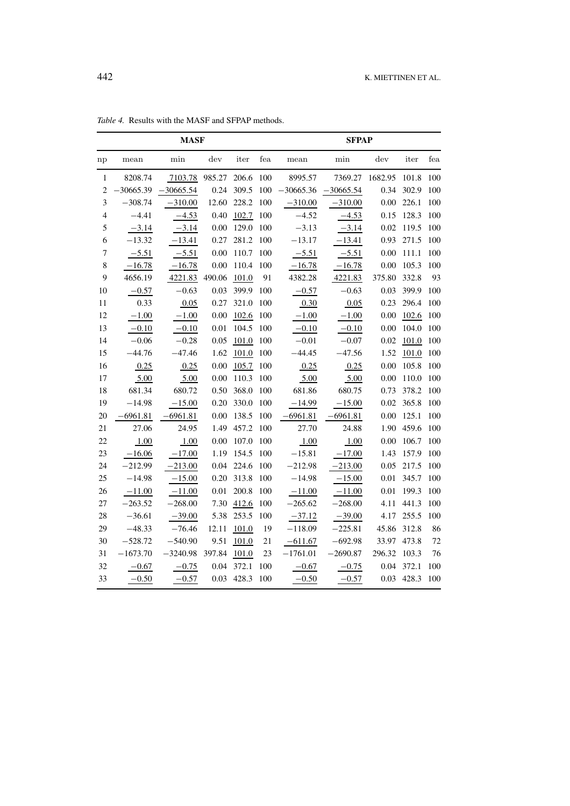| <b>MASF</b>              |             |             |          |       |     | <b>SFPAP</b> |             |          |            |     |  |
|--------------------------|-------------|-------------|----------|-------|-----|--------------|-------------|----------|------------|-----|--|
| np                       | mean        | min         | dev      | iter  | fea | mean         | $\min$      | dev      | iter       | fea |  |
| $\,1$                    | 8208.74     | 7103.78     | 985.27   | 206.6 | 100 | 8995.57      | 7369.27     | 1682.95  | 101.8      | 100 |  |
| $\overline{c}$           | $-30665.39$ | $-30665.54$ | 0.24     | 309.5 | 100 | $-30665.36$  | $-30665.54$ | 0.34     | 302.9      | 100 |  |
| 3                        | $-308.74$   | $-310.00$   | 12.60    | 228.2 | 100 | $-310.00$    | $-310.00$   | $0.00\,$ | 226.1      | 100 |  |
| $\overline{\mathcal{L}}$ | $-4.41$     | $-4.53$     | 0.40     | 102.7 | 100 | $-4.52$      | $-4.53$     | 0.15     | 128.3      | 100 |  |
| 5                        | $-3.14$     | $-3.14$     | 0.00     | 129.0 | 100 | $-3.13$      | $-3.14$     | 0.02     | 119.5      | 100 |  |
| 6                        | $-13.32$    | $-13.41$    | 0.27     | 281.2 | 100 | $-13.17$     | $-13.41$    | 0.93     | 271.5      | 100 |  |
| $\boldsymbol{7}$         | $-5.51$     | $-5.51$     | 0.00     | 110.7 | 100 | $-5.51$      | $-5.51$     | $0.00\,$ | 111.1      | 100 |  |
| $\,$ 8 $\,$              | $-16.78$    | $-16.78$    | 0.00     | 110.4 | 100 | $-16.78$     | $-16.78$    | $0.00\,$ | 105.3      | 100 |  |
| 9                        | 4656.19     | 4221.83     | 490.06   | 101.0 | 91  | 4382.28      | 4221.83     | 375.80   | 332.8      | 93  |  |
| 10                       | $-0.57$     | $-0.63$     | 0.03     | 399.9 | 100 | $-0.57$      | $-0.63$     | 0.03     | 399.9      | 100 |  |
| 11                       | 0.33        | 0.05        | 0.27     | 321.0 | 100 | 0.30         | 0.05        | 0.23     | 296.4      | 100 |  |
| 12                       | $-1.00$     | $-1.00$     | 0.00     | 102.6 | 100 | $-1.00$      | $-1.00$     | $0.00\,$ | 102.6      | 100 |  |
| 13                       | $-0.10$     | $-0.10$     | 0.01     | 104.5 | 100 | $-0.10$      | $-0.10$     | 0.00     | 104.0      | 100 |  |
| 14                       | $-0.06$     | $-0.28$     | 0.05     | 101.0 | 100 | $-0.01$      | $-0.07$     | 0.02     | 101.0      | 100 |  |
| 15                       | $-44.76$    | $-47.46$    | 1.62     | 101.0 | 100 | $-44.45$     | $-47.56$    | 1.52     | 101.0      | 100 |  |
| 16                       | 0.25        | 0.25        | 0.00     | 105.7 | 100 | 0.25         | 0.25        | $0.00\,$ | 105.8      | 100 |  |
| 17                       | 5.00        | 5.00        | 0.00     | 110.3 | 100 | 5.00         | 5.00        | 0.00     | 110.0      | 100 |  |
| 18                       | 681.34      | 680.72      | 0.50     | 368.0 | 100 | 681.86       | 680.75      | 0.73     | 378.2      | 100 |  |
| 19                       | $-14.98$    | $-15.00$    | 0.20     | 330.0 | 100 | $-14.99$     | $-15.00$    | 0.02     | 365.8      | 100 |  |
| 20                       | $-6961.81$  | $-6961.81$  | $0.00\,$ | 138.5 | 100 | $-6961.81$   | $-6961.81$  | 0.00     | 125.1      | 100 |  |
| 21                       | 27.06       | 24.95       | 1.49     | 457.2 | 100 | 27.70        | 24.88       | 1.90     | 459.6      | 100 |  |
| 22                       | 1.00        | 1.00        | 0.00     | 107.0 | 100 | 1.00         | 1.00        | 0.00     | 106.7      | 100 |  |
| 23                       | $-16.06$    | $-17.00$    | 1.19     | 154.5 | 100 | $-15.81$     | $-17.00$    | 1.43     | 157.9      | 100 |  |
| 24                       | $-212.99$   | $-213.00$   | 0.04     | 224.6 | 100 | $-212.98$    | $-213.00$   | 0.05     | 217.5      | 100 |  |
| 25                       | $-14.98$    | $-15.00$    | 0.20     | 313.8 | 100 | $-14.98$     | $-15.00$    | 0.01     | 345.7      | 100 |  |
| 26                       | $-11.00$    | $-11.00$    | 0.01     | 200.8 | 100 | $-11.00$     | $-11.00$    | 0.01     | 199.3      | 100 |  |
| 27                       | $-263.52$   | $-268.00$   | 7.30     | 412.6 | 100 | $-265.62$    | $-268.00$   | 4.11     | 441.3      | 100 |  |
| 28                       | $-36.61$    | $-39.00$    | 5.38     | 253.5 | 100 | $-37.12$     | $-39.00$    | 4.17     | 255.5      | 100 |  |
| 29                       | $-48.33$    | $-76.46$    | 12.11    | 101.0 | 19  | $-118.09$    | $-225.81$   | 45.86    | 312.8      | 86  |  |
| 30                       | $-528.72$   | $-540.90$   | 9.51     | 101.0 | 21  | $-611.67$    | $-692.98$   | 33.97    | 473.8      | 72  |  |
| 31                       | $-1673.70$  | $-3240.98$  | 397.84   | 101.0 | 23  | $-1761.01$   | $-2690.87$  | 296.32   | 103.3      | 76  |  |
| 32                       | $-0.67$     | $-0.75$     | 0.04     | 372.1 | 100 | $-0.67$      | $-0.75$     | 0.04     | 372.1      | 100 |  |
| 33                       | $-0.50$     | $-0.57$     | 0.03     | 428.3 | 100 | $-0.50$      | $-0.57$     |          | 0.03 428.3 | 100 |  |

*Table 4.* Results with the MASF and SFPAP methods.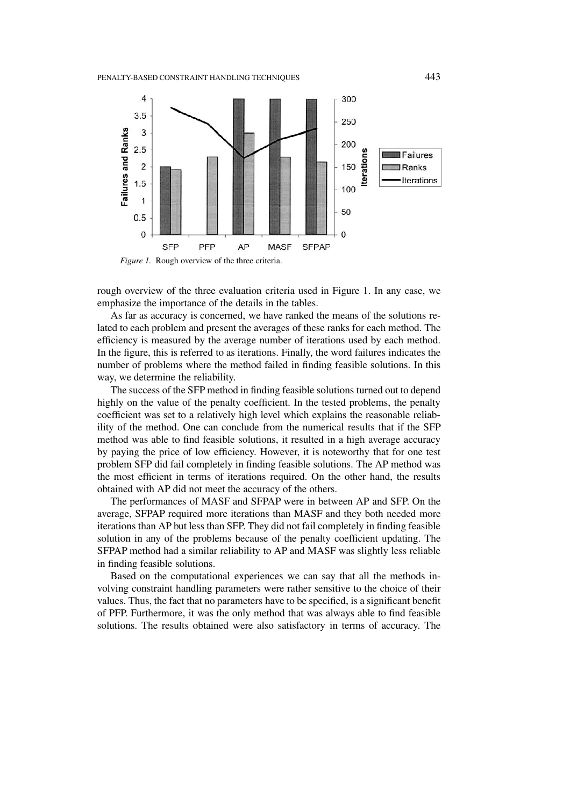

rough overview of the three evaluation criteria used in Figure 1. In any case, we emphasize the importance of the details in the tables.

As far as accuracy is concerned, we have ranked the means of the solutions related to each problem and present the averages of these ranks for each method. The efficiency is measured by the average number of iterations used by each method. In the figure, this is referred to as iterations. Finally, the word failures indicates the number of problems where the method failed in finding feasible solutions. In this way, we determine the reliability.

The success of the SFP method in finding feasible solutions turned out to depend highly on the value of the penalty coefficient. In the tested problems, the penalty coefficient was set to a relatively high level which explains the reasonable reliability of the method. One can conclude from the numerical results that if the SFP method was able to find feasible solutions, it resulted in a high average accuracy by paying the price of low efficiency. However, it is noteworthy that for one test problem SFP did fail completely in finding feasible solutions. The AP method was the most efficient in terms of iterations required. On the other hand, the results obtained with AP did not meet the accuracy of the others.

The performances of MASF and SFPAP were in between AP and SFP. On the average, SFPAP required more iterations than MASF and they both needed more iterations than AP but less than SFP. They did not fail completely in finding feasible solution in any of the problems because of the penalty coefficient updating. The SFPAP method had a similar reliability to AP and MASF was slightly less reliable in finding feasible solutions.

Based on the computational experiences we can say that all the methods involving constraint handling parameters were rather sensitive to the choice of their values. Thus, the fact that no parameters have to be specified, is a significant benefit of PFP. Furthermore, it was the only method that was always able to find feasible solutions. The results obtained were also satisfactory in terms of accuracy. The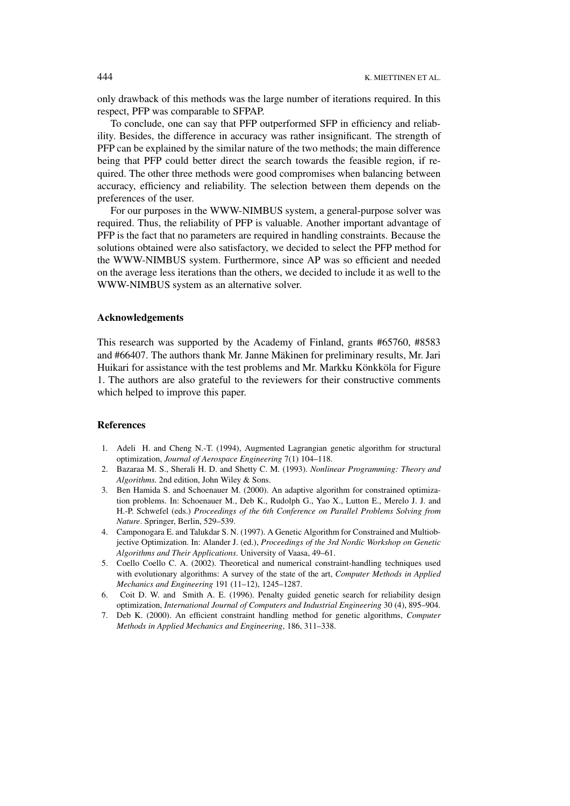only drawback of this methods was the large number of iterations required. In this respect, PFP was comparable to SFPAP.

To conclude, one can say that PFP outperformed SFP in efficiency and reliability. Besides, the difference in accuracy was rather insignificant. The strength of PFP can be explained by the similar nature of the two methods; the main difference being that PFP could better direct the search towards the feasible region, if required. The other three methods were good compromises when balancing between accuracy, efficiency and reliability. The selection between them depends on the preferences of the user.

For our purposes in the WWW-NIMBUS system, a general-purpose solver was required. Thus, the reliability of PFP is valuable. Another important advantage of PFP is the fact that no parameters are required in handling constraints. Because the solutions obtained were also satisfactory, we decided to select the PFP method for the WWW-NIMBUS system. Furthermore, since AP was so efficient and needed on the average less iterations than the others, we decided to include it as well to the WWW-NIMBUS system as an alternative solver.

## **Acknowledgements**

This research was supported by the Academy of Finland, grants #65760, #8583 and #66407. The authors thank Mr. Janne Mäkinen for preliminary results, Mr. Jari Huikari for assistance with the test problems and Mr. Markku Könkköla for Figure 1. The authors are also grateful to the reviewers for their constructive comments which helped to improve this paper.

## **References**

- 1. Adeli H. and Cheng N.-T. (1994), Augmented Lagrangian genetic algorithm for structural optimization, *Journal of Aerospace Engineering* 7(1) 104–118.
- 2. Bazaraa M. S., Sherali H. D. and Shetty C. M. (1993). *Nonlinear Programming: Theory and Algorithms.* 2nd edition, John Wiley & Sons.
- 3. Ben Hamida S. and Schoenauer M. (2000). An adaptive algorithm for constrained optimization problems. In: Schoenauer M., Deb K., Rudolph G., Yao X., Lutton E., Merelo J. J. and H.-P. Schwefel (eds.) *Proceedings of the 6th Conference on Parallel Problems Solving from Nature*. Springer, Berlin, 529–539.
- 4. Camponogara E. and Talukdar S. N. (1997). A Genetic Algorithm for Constrained and Multiobjective Optimization. In: Alander J. (ed.), *Proceedings of the 3rd Nordic Workshop on Genetic Algorithms and Their Applications*. University of Vaasa, 49–61.
- 5. Coello Coello C. A. (2002). Theoretical and numerical constraint-handling techniques used with evolutionary algorithms: A survey of the state of the art, *Computer Methods in Applied Mechanics and Engineering* 191 (11–12), 1245–1287.
- 6. Coit D. W. and Smith A. E. (1996). Penalty guided genetic search for reliability design optimization, *International Journal of Computers and Industrial Engineering* 30 (4), 895–904.
- 7. Deb K. (2000). An efficient constraint handling method for genetic algorithms, *Computer Methods in Applied Mechanics and Engineering*, 186, 311–338.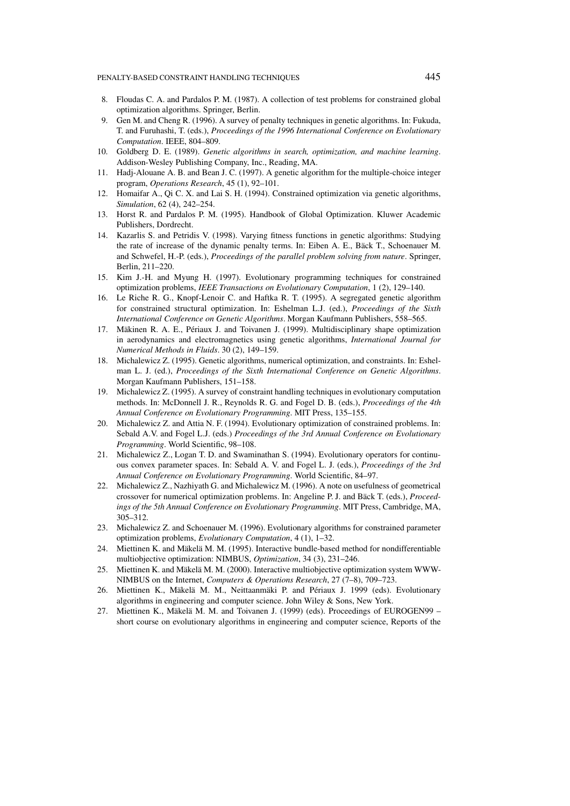- 8. Floudas C. A. and Pardalos P. M. (1987). A collection of test problems for constrained global optimization algorithms. Springer, Berlin.
- 9. Gen M. and Cheng R. (1996). A survey of penalty techniques in genetic algorithms. In: Fukuda, T. and Furuhashi, T. (eds.), *Proceedings of the 1996 International Conference on Evolutionary Computation*. IEEE, 804–809.
- 10. Goldberg D. E. (1989). *Genetic algorithms in search, optimization, and machine learning*. Addison-Wesley Publishing Company, Inc., Reading, MA.
- 11. Hadj-Alouane A. B. and Bean J. C. (1997). A genetic algorithm for the multiple-choice integer program, *Operations Research*, 45 (1), 92–101.
- 12. Homaifar A., Qi C. X. and Lai S. H. (1994). Constrained optimization via genetic algorithms, *Simulation*, 62 (4), 242–254.
- 13. Horst R. and Pardalos P. M. (1995). Handbook of Global Optimization. Kluwer Academic Publishers, Dordrecht.
- 14. Kazarlis S. and Petridis V. (1998). Varying fitness functions in genetic algorithms: Studying the rate of increase of the dynamic penalty terms. In: Eiben A. E., Bäck T., Schoenauer M. and Schwefel, H.-P. (eds.), *Proceedings of the parallel problem solving from nature*. Springer, Berlin, 211–220.
- 15. Kim J.-H. and Myung H. (1997). Evolutionary programming techniques for constrained optimization problems, *IEEE Transactions on Evolutionary Computation*, 1 (2), 129–140.
- 16. Le Riche R. G., Knopf-Lenoir C. and Haftka R. T. (1995). A segregated genetic algorithm for constrained structural optimization. In: Eshelman L.J. (ed.), *Proceedings of the Sixth International Conference on Genetic Algorithms*. Morgan Kaufmann Publishers, 558–565.
- 17. Mäkinen R. A. E., Périaux J. and Toivanen J. (1999). Multidisciplinary shape optimization in aerodynamics and electromagnetics using genetic algorithms, *International Journal for Numerical Methods in Fluids*. 30 (2), 149–159.
- 18. Michalewicz Z. (1995). Genetic algorithms, numerical optimization, and constraints. In: Eshelman L. J. (ed.), *Proceedings of the Sixth International Conference on Genetic Algorithms*. Morgan Kaufmann Publishers, 151–158.
- 19. Michalewicz Z. (1995). A survey of constraint handling techniques in evolutionary computation methods. In: McDonnell J. R., Reynolds R. G. and Fogel D. B. (eds.), *Proceedings of the 4th Annual Conference on Evolutionary Programming*. MIT Press, 135–155.
- 20. Michalewicz Z. and Attia N. F. (1994). Evolutionary optimization of constrained problems. In: Sebald A.V. and Fogel L.J. (eds.) *Proceedings of the 3rd Annual Conference on Evolutionary Programming*. World Scientific, 98–108.
- 21. Michalewicz Z., Logan T. D. and Swaminathan S. (1994). Evolutionary operators for continuous convex parameter spaces. In: Sebald A. V. and Fogel L. J. (eds.), *Proceedings of the 3rd Annual Conference on Evolutionary Programming*. World Scientific, 84–97.
- 22. Michalewicz Z., Nazhiyath G. and Michalewicz M. (1996). A note on usefulness of geometrical crossover for numerical optimization problems. In: Angeline P. J. and Bäck T. (eds.), *Proceedings of the 5th Annual Conference on Evolutionary Programming*. MIT Press, Cambridge, MA, 305–312.
- 23. Michalewicz Z. and Schoenauer M. (1996). Evolutionary algorithms for constrained parameter optimization problems, *Evolutionary Computation*, 4 (1), 1–32.
- 24. Miettinen K. and Mäkelä M. M. (1995). Interactive bundle-based method for nondifferentiable multiobjective optimization: NIMBUS, *Optimization*, 34 (3), 231–246.
- 25. Miettinen K. and Mäkelä M. M. (2000). Interactive multiobjective optimization system WWW-NIMBUS on the Internet, *Computers & Operations Research*, 27 (7–8), 709–723.
- 26. Miettinen K., Mäkelä M. M., Neittaanmäki P. and Périaux J. 1999 (eds). Evolutionary algorithms in engineering and computer science. John Wiley & Sons, New York.
- 27. Miettinen K., Mäkelä M. M. and Toivanen J. (1999) (eds). Proceedings of EUROGEN99 short course on evolutionary algorithms in engineering and computer science, Reports of the